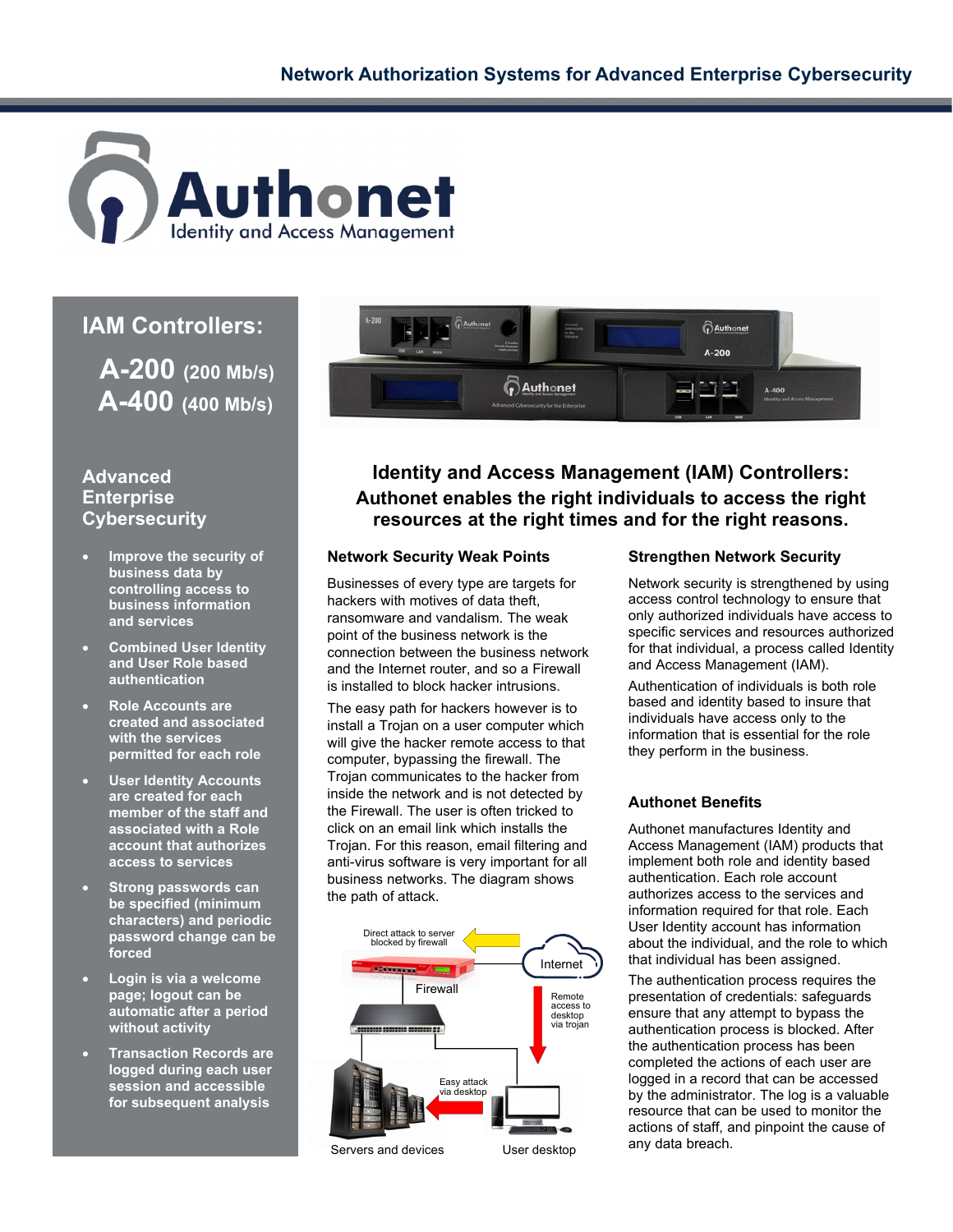

# **IAM Controllers:**

 **A-200 (200 Mb/s) A-400 (400 Mb/s)**

## **Advanced Enterprise Cybersecurity**

- **Improve the security of business data by controlling access to business information and services**
- **Combined User Identity and User Role based authentication**
- **Role Accounts are created and associated with the services permitted for each role**
- **User Identity Accounts are created for each member of the staff and associated with a Role account that authorizes access to services**
- **Strong passwords can be specified (minimum characters) and periodic password change can be forced**
- **Login is via a welcome page; logout can be automatic after a period without activity**
- **Transaction Records are logged during each user session and accessible for subsequent analysis**



**Identity and Access Management (IAM) Controllers: Authonet enables the right individuals to access the right resources at the right times and for the right reasons.**

### **Network Security Weak Points**

Businesses of every type are targets for hackers with motives of data theft, ransomware and vandalism. The weak point of the business network is the connection between the business network and the Internet router, and so a Firewall is installed to block hacker intrusions.

The easy path for hackers however is to install a Trojan on a user computer which will give the hacker remote access to that computer, bypassing the firewall. The Trojan communicates to the hacker from inside the network and is not detected by the Firewall. The user is often tricked to click on an email link which installs the Trojan. For this reason, email filtering and anti-virus software is very important for all business networks. The diagram shows the path of attack.



### **Strengthen Network Security**

Network security is strengthened by using access control technology to ensure that only authorized individuals have access to specific services and resources authorized for that individual, a process called Identity and Access Management (IAM).

Authentication of individuals is both role based and identity based to insure that individuals have access only to the information that is essential for the role they perform in the business.

### **Authonet Benefits**

Authonet manufactures Identity and Access Management (IAM) products that implement both role and identity based authentication. Each role account authorizes access to the services and information required for that role. Each User Identity account has information about the individual, and the role to which that individual has been assigned.

The authentication process requires the presentation of credentials: safeguards ensure that any attempt to bypass the authentication process is blocked. After the authentication process has been completed the actions of each user are logged in a record that can be accessed by the administrator. The log is a valuable resource that can be used to monitor the actions of staff, and pinpoint the cause of any data breach.